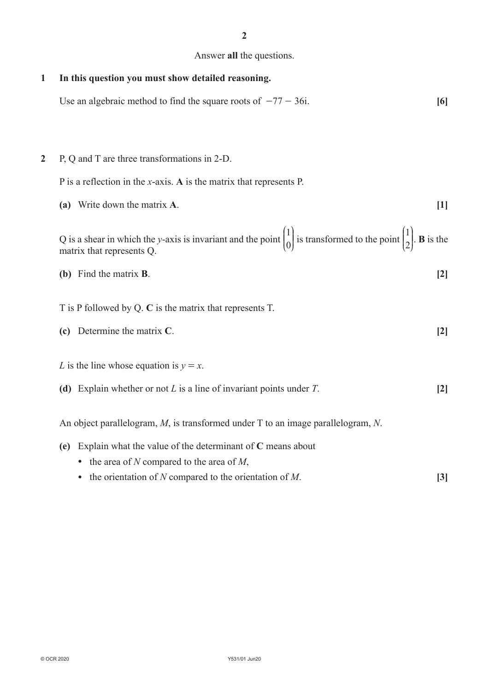# Answer **all** the questions.

# **1 In this question you must show detailed reasoning.**

| Use an algebraic method to find the square roots of $-77 - 36i$ . |  |  |
|-------------------------------------------------------------------|--|--|
|                                                                   |  |  |

**2** P, Q and T are three transformations in 2-D.

P is a reflection in the *x*-axis. **A** is the matrix that represents P.

| (a) Write down the matrix A.                                                                                                                                                                                         | $[1]$ |  |  |
|----------------------------------------------------------------------------------------------------------------------------------------------------------------------------------------------------------------------|-------|--|--|
| Q is a shear in which the y-axis is invariant and the point $\begin{pmatrix} 1 \\ 0 \end{pmatrix}$ is transformed to the point $\begin{pmatrix} 1 \\ 2 \end{pmatrix}$ . <b>B</b> is the<br>matrix that represents Q. |       |  |  |
| Find the matrix <b>B</b> .<br>(b)                                                                                                                                                                                    | $[2]$ |  |  |
| T is P followed by Q. $\bf{C}$ is the matrix that represents T.<br>$(c)$ Determine the matrix $C$ .                                                                                                                  | $[2]$ |  |  |
| L is the line whose equation is $y = x$ .                                                                                                                                                                            |       |  |  |
| Explain whether or not $L$ is a line of invariant points under $T$ .<br>(d)                                                                                                                                          | [2]   |  |  |
| An object parallelogram, $M$ , is transformed under T to an image parallelogram, $N$ .                                                                                                                               |       |  |  |
| Explain what the value of the determinant of $C$ means about<br>(e)                                                                                                                                                  |       |  |  |

- the area of *N* compared to the area of *M*,
- the orientation of *N* compared to the orientation of *M*. **[3]**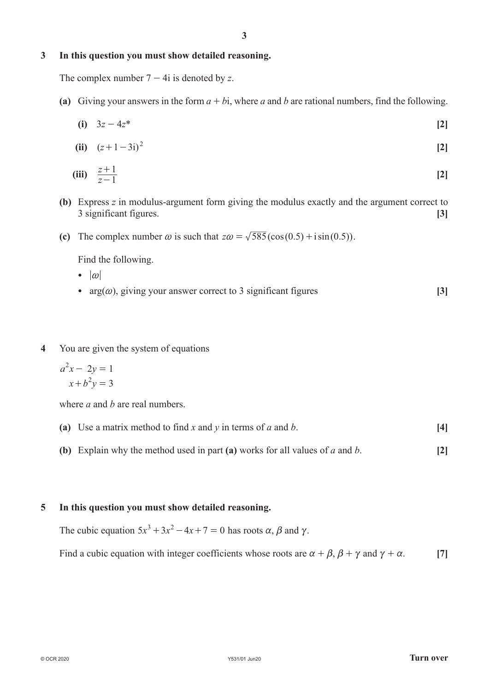## **3 In this question you must show detailed reasoning.**

The complex number  $7 - 4i$  is denoted by z.

- (a) Giving your answers in the form  $a + bi$ , where  $a$  and  $b$  are rational numbers, find the following.
	- $(1)$   $3z 4z^*$  [2]

(ii) 
$$
(z+1-3i)^2
$$
 [2]

$$
\textbf{(iii)} \quad \frac{z+1}{z-1} \tag{2}
$$

- **(b)** Express *z* in modulus-argument form giving the modulus exactly and the argument correct to 3 significant figures. **[3]**
- **(c)** The complex number  $\omega$  is such that  $z\omega = \sqrt{585} (\cos(0.5) + i \sin(0.5))$ .

Find the following.

- $\omega$
- $arg(\omega)$ , giving your answer correct to 3 significant figures **[3]**
- **4** You are given the system of equations

$$
a2x - 2y = 1
$$

$$
x + b2y = 3
$$

where *a* and *b* are real numbers.

- **(a)** Use a matrix method to find *x* and *y* in terms of *a* and *b*. **[4]**
- **(b)** Explain why the method used in part **(a)** works for all values of *a* and *b*. **[2]**

## **5 In this question you must show detailed reasoning.**

The cubic equation  $5x^3 + 3x^2 - 4x + 7 = 0$  has roots  $\alpha$ ,  $\beta$  and  $\gamma$ .

Find a cubic equation with integer coefficients whose roots are  $\alpha + \beta$ ,  $\beta + \gamma$  and  $\gamma + \alpha$ . [7]